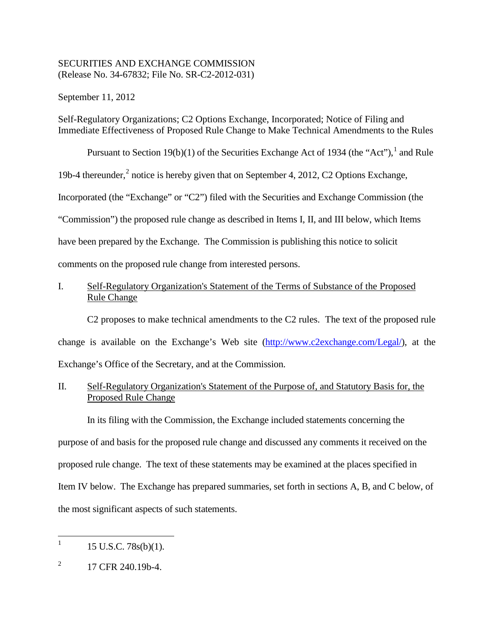# SECURITIES AND EXCHANGE COMMISSION (Release No. 34-67832; File No. SR-C2-2012-031)

September 11, 2012

Self-Regulatory Organizations; C2 Options Exchange, Incorporated; Notice of Filing and Immediate Effectiveness of Proposed Rule Change to Make Technical Amendments to the Rules

Pursuant to Section [1](#page-0-0)9(b)(1) of the Securities Exchange Act of 1934 (the "Act"),  $\frac{1}{1}$  and Rule

19b-4 thereunder,<sup>[2](#page-0-1)</sup> notice is hereby given that on September 4, 2012, C2 Options Exchange,

Incorporated (the "Exchange" or "C2") filed with the Securities and Exchange Commission (the

"Commission") the proposed rule change as described in Items I, II, and III below, which Items

have been prepared by the Exchange. The Commission is publishing this notice to solicit

comments on the proposed rule change from interested persons.

# I. Self-Regulatory Organization's Statement of the Terms of Substance of the Proposed Rule Change

C2 proposes to make technical amendments to the C2 rules. The text of the proposed rule change is available on the Exchange's Web site [\(http://www.c2exchange.com/Legal/\)](http://www.c2exchange.com/Legal/), at the Exchange's Office of the Secretary, and at the Commission.

# II. Self-Regulatory Organization's Statement of the Purpose of, and Statutory Basis for, the Proposed Rule Change

In its filing with the Commission, the Exchange included statements concerning the purpose of and basis for the proposed rule change and discussed any comments it received on the proposed rule change. The text of these statements may be examined at the places specified in Item IV below. The Exchange has prepared summaries, set forth in sections A, B, and C below, of the most significant aspects of such statements.

<span id="page-0-0"></span> $1 \quad 15 \text{ U.S.C. } 78 \text{s(b)}(1).$ 

<span id="page-0-1"></span> $^{2}$  17 CFR 240.19b-4.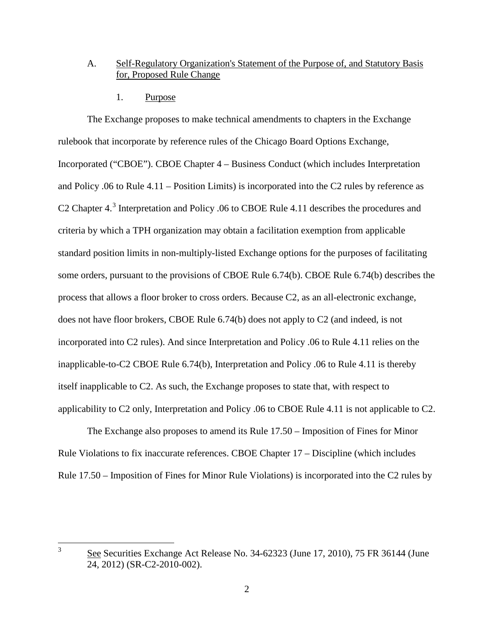### A. Self-Regulatory Organization's Statement of the Purpose of, and Statutory Basis for, Proposed Rule Change

1. Purpose

The Exchange proposes to make technical amendments to chapters in the Exchange rulebook that incorporate by reference rules of the Chicago Board Options Exchange, Incorporated ("CBOE"). CBOE Chapter 4 – Business Conduct (which includes Interpretation and Policy .06 to Rule 4.11 – Position Limits) is incorporated into the C2 rules by reference as C2 Chapter 4.[3](#page-1-0) Interpretation and Policy .06 to CBOE Rule 4.11 describes the procedures and criteria by which a TPH organization may obtain a facilitation exemption from applicable standard position limits in non-multiply-listed Exchange options for the purposes of facilitating some orders, pursuant to the provisions of CBOE Rule 6.74(b). CBOE Rule 6.74(b) describes the process that allows a floor broker to cross orders. Because C2, as an all-electronic exchange, does not have floor brokers, CBOE Rule 6.74(b) does not apply to C2 (and indeed, is not incorporated into C2 rules). And since Interpretation and Policy .06 to Rule 4.11 relies on the inapplicable-to-C2 CBOE Rule 6.74(b), Interpretation and Policy .06 to Rule 4.11 is thereby itself inapplicable to C2. As such, the Exchange proposes to state that, with respect to applicability to C2 only, Interpretation and Policy .06 to CBOE Rule 4.11 is not applicable to C2.

The Exchange also proposes to amend its Rule 17.50 – Imposition of Fines for Minor Rule Violations to fix inaccurate references. CBOE Chapter 17 – Discipline (which includes Rule 17.50 – Imposition of Fines for Minor Rule Violations) is incorporated into the C2 rules by

<span id="page-1-0"></span><sup>&</sup>lt;sup>3</sup> See Securities Exchange Act Release No. 34-62323 (June 17, 2010), 75 FR 36144 (June 24, 2012) (SR-C2-2010-002).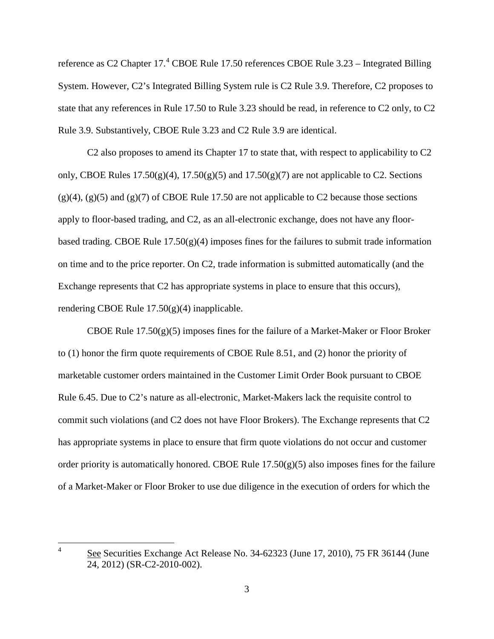reference as C2 Chapter 17.<sup>[4](#page-2-0)</sup> CBOE Rule 17.50 references CBOE Rule 3.23 – Integrated Billing System. However, C2's Integrated Billing System rule is C2 Rule 3.9. Therefore, C2 proposes to state that any references in Rule 17.50 to Rule 3.23 should be read, in reference to C2 only, to C2 Rule 3.9. Substantively, CBOE Rule 3.23 and C2 Rule 3.9 are identical.

C2 also proposes to amend its Chapter 17 to state that, with respect to applicability to C2 only, CBOE Rules  $17.50(g)(4)$ ,  $17.50(g)(5)$  and  $17.50(g)(7)$  are not applicable to C2. Sections  $(g)(4)$ ,  $(g)(5)$  and  $(g)(7)$  of CBOE Rule 17.50 are not applicable to C2 because those sections apply to floor-based trading, and C2, as an all-electronic exchange, does not have any floorbased trading. CBOE Rule  $17.50(g)(4)$  imposes fines for the failures to submit trade information on time and to the price reporter. On C2, trade information is submitted automatically (and the Exchange represents that C2 has appropriate systems in place to ensure that this occurs), rendering CBOE Rule 17.50(g)(4) inapplicable.

CBOE Rule 17.50(g)(5) imposes fines for the failure of a Market-Maker or Floor Broker to (1) honor the firm quote requirements of CBOE Rule 8.51, and (2) honor the priority of marketable customer orders maintained in the Customer Limit Order Book pursuant to CBOE Rule 6.45. Due to C2's nature as all-electronic, Market-Makers lack the requisite control to commit such violations (and C2 does not have Floor Brokers). The Exchange represents that C2 has appropriate systems in place to ensure that firm quote violations do not occur and customer order priority is automatically honored. CBOE Rule  $17.50(g)(5)$  also imposes fines for the failure of a Market-Maker or Floor Broker to use due diligence in the execution of orders for which the

<span id="page-2-0"></span><sup>&</sup>lt;sup>4</sup> See Securities Exchange Act Release No. 34-62323 (June 17, 2010), 75 FR 36144 (June 24, 2012) (SR-C2-2010-002).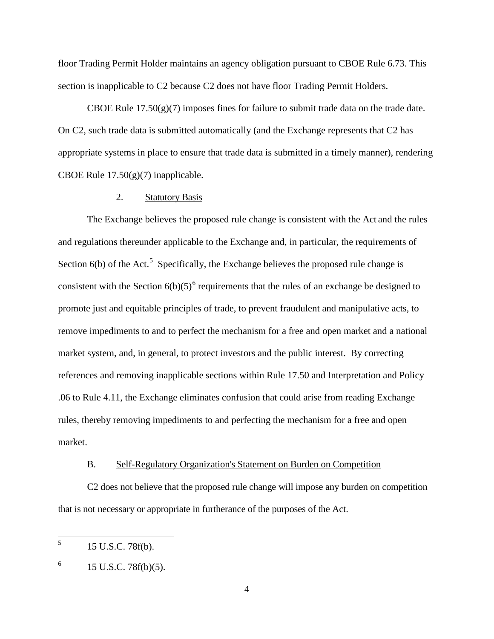floor Trading Permit Holder maintains an agency obligation pursuant to CBOE Rule 6.73. This section is inapplicable to C2 because C2 does not have floor Trading Permit Holders.

CBOE Rule  $17.50(g)(7)$  imposes fines for failure to submit trade data on the trade date. On C2, such trade data is submitted automatically (and the Exchange represents that C2 has appropriate systems in place to ensure that trade data is submitted in a timely manner), rendering CBOE Rule  $17.50(g)(7)$  inapplicable.

### 2. Statutory Basis

The Exchange believes the proposed rule change is consistent with the Act and the rules and regulations thereunder applicable to the Exchange and, in particular, the requirements of Section  $6(b)$  of the Act.<sup>[5](#page-3-0)</sup> Specifically, the Exchange believes the proposed rule change is consistent with the Section  $6(b)(5)^6$  $6(b)(5)^6$  requirements that the rules of an exchange be designed to promote just and equitable principles of trade, to prevent fraudulent and manipulative acts, to remove impediments to and to perfect the mechanism for a free and open market and a national market system, and, in general, to protect investors and the public interest. By correcting references and removing inapplicable sections within Rule 17.50 and Interpretation and Policy .06 to Rule 4.11, the Exchange eliminates confusion that could arise from reading Exchange rules, thereby removing impediments to and perfecting the mechanism for a free and open market.

#### B. Self-Regulatory Organization's Statement on Burden on Competition

C2 does not believe that the proposed rule change will impose any burden on competition that is not necessary or appropriate in furtherance of the purposes of the Act.

<span id="page-3-0"></span> $^{5}$  15 U.S.C. 78f(b).

<span id="page-3-1"></span> $^{6}$  15 U.S.C. 78f(b)(5).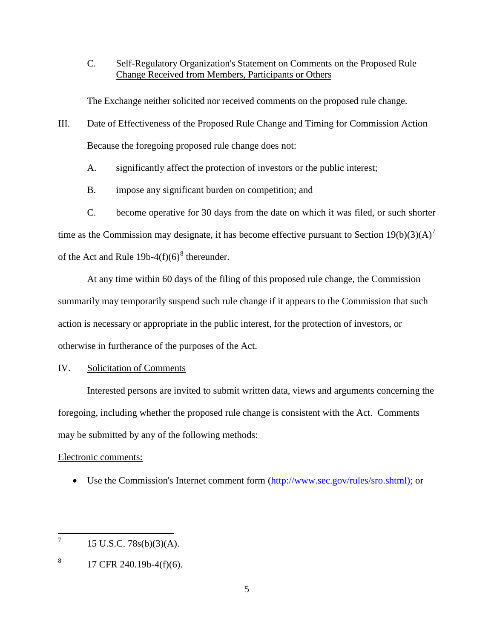C. Self-Regulatory Organization's Statement on Comments on the Proposed Rule Change Received from Members, Participants or Others

The Exchange neither solicited nor received comments on the proposed rule change.

- III. Date of Effectiveness of the Proposed Rule Change and Timing for Commission Action Because the foregoing proposed rule change does not:
	- A. significantly affect the protection of investors or the public interest;
	- B. impose any significant burden on competition; and
- C. become operative for 30 days from the date on which it was filed, or such shorter time as the Commission may designate, it has become effective pursuant to Section  $19(b)(3)(A)^7$  $19(b)(3)(A)^7$ of the Act and Rule 19b-4(f)(6)<sup>[8](#page-4-1)</sup> thereunder.

At any time within 60 days of the filing of this proposed rule change, the Commission summarily may temporarily suspend such rule change if it appears to the Commission that such action is necessary or appropriate in the public interest, for the protection of investors, or otherwise in furtherance of the purposes of the Act.

IV. Solicitation of Comments

Interested persons are invited to submit written data, views and arguments concerning the foregoing, including whether the proposed rule change is consistent with the Act. Comments may be submitted by any of the following methods:

# Electronic comments:

• Use the Commission's Internet comment form [\(http://www.sec.gov/rules/sro.shtml\)](http://www.sec.gov/rules/sro.shtml); or

<span id="page-4-0"></span> $7 \qquad 15 \text{ U.S.C. } 78\text{s(b)}(3)(\text{A}).$ 

<span id="page-4-1"></span> $8 \qquad 17 \text{ CFR } 240.19b - 4(f)(6).$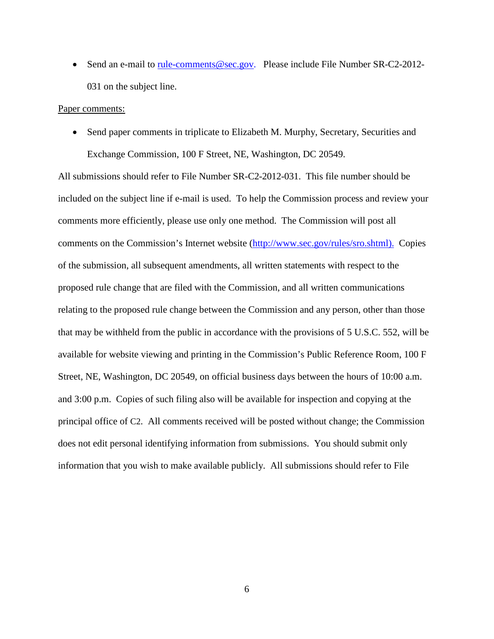• Send an e-mail to <u>rule-comments@sec.gov</u>. Please include File Number SR-C2-2012-031 on the subject line.

#### Paper comments:

• Send paper comments in triplicate to Elizabeth M. Murphy, Secretary, Securities and Exchange Commission, 100 F Street, NE, Washington, DC 20549.

All submissions should refer to File Number SR-C2-2012-031. This file number should be included on the subject line if e-mail is used. To help the Commission process and review your comments more efficiently, please use only one method. The Commission will post all comments on the Commission's Internet website (http://www.sec.gov/rules/sro.shtml). Copies of the submission, all subsequent amendments, all written statements with respect to the proposed rule change that are filed with the Commission, and all written communications relating to the proposed rule change between the Commission and any person, other than those that may be withheld from the public in accordance with the provisions of 5 U.S.C. 552, will be available for website viewing and printing in the Commission's Public Reference Room, 100 F Street, NE, Washington, DC 20549, on official business days between the hours of 10:00 a.m. and 3:00 p.m. Copies of such filing also will be available for inspection and copying at the principal office of C2. All comments received will be posted without change; the Commission does not edit personal identifying information from submissions. You should submit only information that you wish to make available publicly. All submissions should refer to File